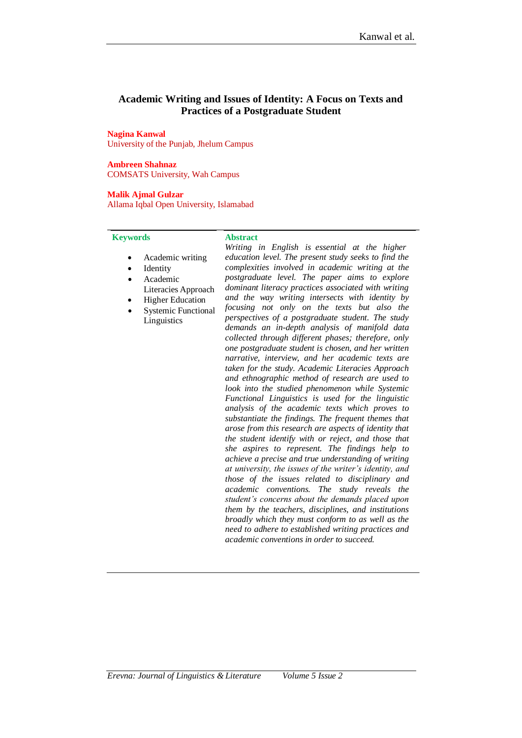# **Academic Writing and Issues of Identity: A Focus on Texts and Practices of a Postgraduate Student**

#### **Nagina Kanwal**

University of the Punjab, Jhelum Campus

### **Ambreen Shahnaz**

COMSATS University, Wah Campus

## **Malik Ajmal Gulzar**

Allama Iqbal Open University, Islamabad

#### **Keywords Abstract**

- Academic writing
- Identity
- Academic
- Literacies Approach
- Higher Education
- Systemic Functional Linguistics

*Writing in English is essential at the higher education level. The present study seeks to find the complexities involved in academic writing at the postgraduate level. The paper aims to explore dominant literacy practices associated with writing and the way writing intersects with identity by focusing not only on the texts but also the perspectives of a postgraduate student. The study demands an in-depth analysis of manifold data collected through different phases; therefore, only one postgraduate student is chosen, and her written narrative, interview, and her academic texts are taken for the study. Academic Literacies Approach and ethnographic method of research are used to look into the studied phenomenon while Systemic Functional Linguistics is used for the linguistic analysis of the academic texts which proves to substantiate the findings. The frequent themes that arose from this research are aspects of identity that the student identify with or reject, and those that she aspires to represent. The findings help to achieve a precise and true understanding of writing at university, the issues of the writer's identity, and those of the issues related to disciplinary and academic conventions. The study reveals the student's concerns about the demands placed upon them by the teachers, disciplines, and institutions broadly which they must conform to as well as the need to adhere to established writing practices and academic conventions in order to succeed.*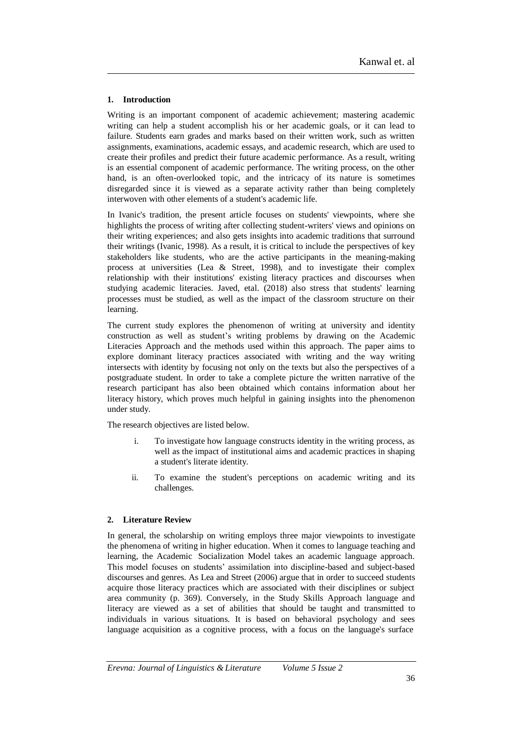## **1. Introduction**

Writing is an important component of academic achievement; mastering academic writing can help a student accomplish his or her academic goals, or it can lead to failure. Students earn grades and marks based on their written work, such as written assignments, examinations, academic essays, and academic research, which are used to create their profiles and predict their future academic performance. As a result, writing is an essential component of academic performance. The writing process, on the other hand, is an often-overlooked topic, and the intricacy of its nature is sometimes disregarded since it is viewed as a separate activity rather than being completely interwoven with other elements of a student's academic life.

In Ivanic's tradition, the present article focuses on students' viewpoints, where she highlights the process of writing after collecting student-writers' views and opinions on their writing experiences; and also gets insights into academic traditions that surround their writings (Ivanic, 1998). As a result, it is critical to include the perspectives of key stakeholders like students, who are the active participants in the meaning-making process at universities (Lea & Street, 1998), and to investigate their complex relationship with their institutions' existing literacy practices and discourses when studying academic literacies. Javed, etal. (2018) also stress that students' learning processes must be studied, as well as the impact of the classroom structure on their learning.

The current study explores the phenomenon of writing at university and identity construction as well as student's writing problems by drawing on the Academic Literacies Approach and the methods used within this approach. The paper aims to explore dominant literacy practices associated with writing and the way writing intersects with identity by focusing not only on the texts but also the perspectives of a postgraduate student. In order to take a complete picture the written narrative of the research participant has also been obtained which contains information about her literacy history, which proves much helpful in gaining insights into the phenomenon under study.

The research objectives are listed below.

- i. To investigate how language constructs identity in the writing process, as well as the impact of institutional aims and academic practices in shaping a student's literate identity.
- ii. To examine the student's perceptions on academic writing and its challenges.

## **2. Literature Review**

In general, the scholarship on writing employs three major viewpoints to investigate the phenomena of writing in higher education. When it comes to language teaching and learning, the Academic Socialization Model takes an academic language approach. This model focuses on students' assimilation into discipline-based and subject-based discourses and genres. As Lea and Street (2006) argue that in order to succeed students acquire those literacy practices which are associated with their disciplines or subject area community (p. 369). Conversely, in the Study Skills Approach language and literacy are viewed as a set of abilities that should be taught and transmitted to individuals in various situations. It is based on behavioral psychology and sees language acquisition as a cognitive process, with a focus on the language's surface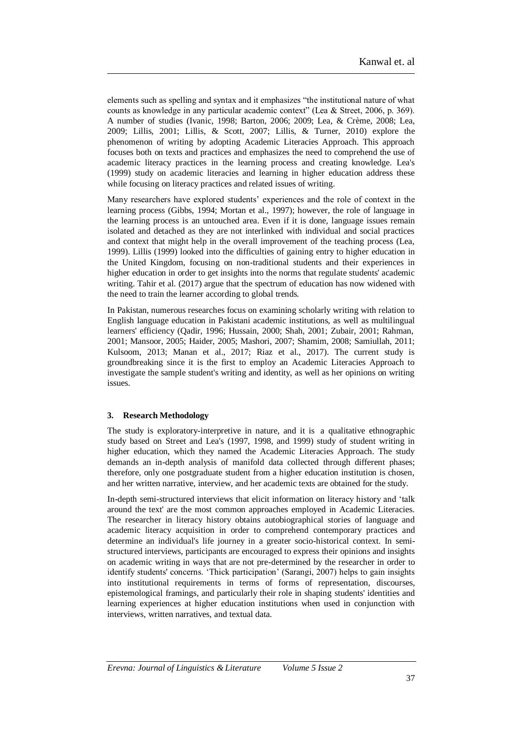elements such as spelling and syntax and it emphasizes "the institutional nature of what counts as knowledge in any particular academic context" (Lea & Street, 2006, p. 369). A number of studies (Ivanic, 1998; Barton, 2006; 2009; Lea, & Crème, 2008; Lea, 2009; Lillis, 2001; Lillis, & Scott, 2007; Lillis, & Turner, 2010) explore the phenomenon of writing by adopting Academic Literacies Approach. This approach focuses both on texts and practices and emphasizes the need to comprehend the use of academic literacy practices in the learning process and creating knowledge. Lea's (1999) study on academic literacies and learning in higher education address these while focusing on literacy practices and related issues of writing.

Many researchers have explored students' experiences and the role of context in the learning process (Gibbs, 1994; Mortan et al., 1997); however, the role of language in the learning process is an untouched area. Even if it is done, language issues remain isolated and detached as they are not interlinked with individual and social practices and context that might help in the overall improvement of the teaching process (Lea, 1999). Lillis (1999) looked into the difficulties of gaining entry to higher education in the United Kingdom, focusing on non-traditional students and their experiences in higher education in order to get insights into the norms that regulate students' academic writing. Tahir et al. (2017) argue that the spectrum of education has now widened with the need to train the learner according to global trends.

In Pakistan, numerous researches focus on examining scholarly writing with relation to English language education in Pakistani academic institutions, as well as multilingual learners' efficiency (Qadir, 1996; Hussain, 2000; Shah, 2001; Zubair, 2001; Rahman, 2001; Mansoor, 2005; Haider, 2005; Mashori, 2007; Shamim, 2008; Samiullah, 2011; Kulsoom, 2013; Manan et al., 2017; Riaz et al., 2017). The current study is groundbreaking since it is the first to employ an Academic Literacies Approach to investigate the sample student's writing and identity, as well as her opinions on writing issues.

## **3. Research Methodology**

The study is exploratory-interpretive in nature, and it is a qualitative ethnographic study based on Street and Lea's (1997, 1998, and 1999) study of student writing in higher education, which they named the Academic Literacies Approach. The study demands an in-depth analysis of manifold data collected through different phases; therefore, only one postgraduate student from a higher education institution is chosen, and her written narrative, interview, and her academic texts are obtained for the study.

In-depth semi-structured interviews that elicit information on literacy history and 'talk around the text' are the most common approaches employed in Academic Literacies. The researcher in literacy history obtains autobiographical stories of language and academic literacy acquisition in order to comprehend contemporary practices and determine an individual's life journey in a greater socio-historical context. In semistructured interviews, participants are encouraged to express their opinions and insights on academic writing in ways that are not pre-determined by the researcher in order to identify students' concerns. 'Thick participation' (Sarangi, 2007) helps to gain insights into institutional requirements in terms of forms of representation, discourses, epistemological framings, and particularly their role in shaping students' identities and learning experiences at higher education institutions when used in conjunction with interviews, written narratives, and textual data.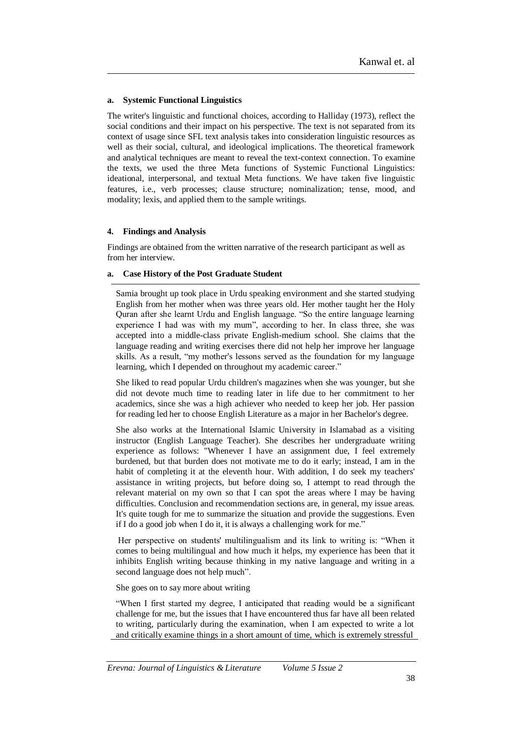## **a. Systemic Functional Linguistics**

The writer's linguistic and functional choices, according to Halliday (1973), reflect the social conditions and their impact on his perspective. The text is not separated from its context of usage since SFL text analysis takes into consideration linguistic resources as well as their social, cultural, and ideological implications. The theoretical framework and analytical techniques are meant to reveal the text-context connection. To examine the texts, we used the three Meta functions of Systemic Functional Linguistics: ideational, interpersonal, and textual Meta functions. We have taken five linguistic features, i.e., verb processes; clause structure; nominalization; tense, mood, and modality; lexis, and applied them to the sample writings.

## **4. Findings and Analysis**

Findings are obtained from the written narrative of the research participant as well as from her interview.

## **a. Case History of the Post Graduate Student**

Samia brought up took place in Urdu speaking environment and she started studying English from her mother when was three years old. Her mother taught her the Holy Quran after she learnt Urdu and English language. "So the entire language learning experience I had was with my mum", according to her. In class three, she was accepted into a middle-class private English-medium school. She claims that the language reading and writing exercises there did not help her improve her language skills. As a result, "my mother's lessons served as the foundation for my language learning, which I depended on throughout my academic career."

She liked to read popular Urdu children's magazines when she was younger, but she did not devote much time to reading later in life due to her commitment to her academics, since she was a high achiever who needed to keep her job. Her passion for reading led her to choose English Literature as a major in her Bachelor's degree.

She also works at the International Islamic University in Islamabad as a visiting instructor (English Language Teacher). She describes her undergraduate writing experience as follows: "Whenever I have an assignment due, I feel extremely burdened, but that burden does not motivate me to do it early; instead, I am in the habit of completing it at the eleventh hour. With addition, I do seek my teachers' assistance in writing projects, but before doing so, I attempt to read through the relevant material on my own so that I can spot the areas where I may be having difficulties. Conclusion and recommendation sections are, in general, my issue areas. It's quite tough for me to summarize the situation and provide the suggestions. Even if I do a good job when I do it, it is always a challenging work for me."

Her perspective on students' multilingualism and its link to writing is: "When it comes to being multilingual and how much it helps, my experience has been that it inhibits English writing because thinking in my native language and writing in a second language does not help much".

She goes on to say more about writing

"When I first started my degree, I anticipated that reading would be a significant challenge for me, but the issues that I have encountered thus far have all been related to writing, particularly during the examination, when I am expected to write a lot and critically examine things in a short amount of time, which is extremely stressful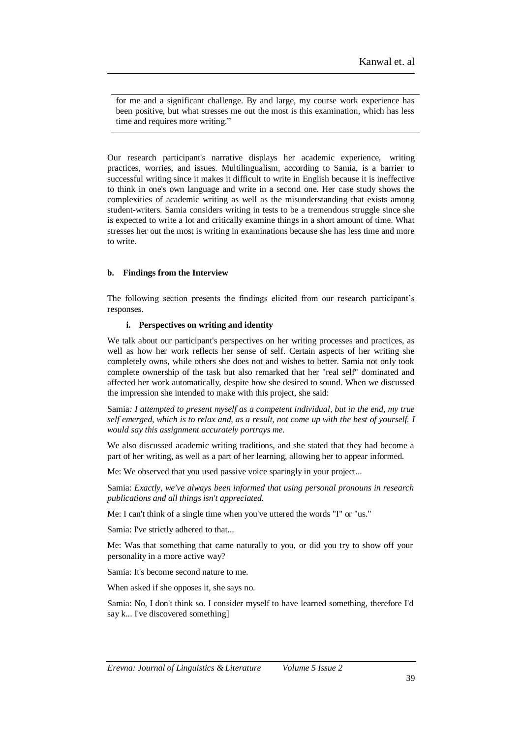for me and a significant challenge. By and large, my course work experience has been positive, but what stresses me out the most is this examination, which has less time and requires more writing."

Our research participant's narrative displays her academic experience, writing practices, worries, and issues. Multilingualism, according to Samia, is a barrier to successful writing since it makes it difficult to write in English because it is ineffective to think in one's own language and write in a second one. Her case study shows the complexities of academic writing as well as the misunderstanding that exists among student-writers. Samia considers writing in tests to be a tremendous struggle since she is expected to write a lot and critically examine things in a short amount of time. What stresses her out the most is writing in examinations because she has less time and more to write.

## **b. Findings from the Interview**

The following section presents the findings elicited from our research participant's responses.

## **i. Perspectives on writing and identity**

We talk about our participant's perspectives on her writing processes and practices, as well as how her work reflects her sense of self. Certain aspects of her writing she completely owns, while others she does not and wishes to better. Samia not only took complete ownership of the task but also remarked that her "real self" dominated and affected her work automatically, despite how she desired to sound. When we discussed the impression she intended to make with this project, she said:

Samia*: I attempted to present myself as a competent individual, but in the end, my true self emerged, which is to relax and, as a result, not come up with the best of yourself. I would say this assignment accurately portrays me.*

We also discussed academic writing traditions, and she stated that they had become a part of her writing, as well as a part of her learning, allowing her to appear informed.

Me: We observed that you used passive voice sparingly in your project...

Samia: *Exactly, we've always been informed that using personal pronouns in research publications and all things isn't appreciated.*

Me: I can't think of a single time when you've uttered the words "I" or "us."

Samia: I've strictly adhered to that...

Me: Was that something that came naturally to you, or did you try to show off your personality in a more active way?

Samia: It's become second nature to me.

When asked if she opposes it, she says no.

Samia: No, I don't think so. I consider myself to have learned something, therefore I'd say k... I've discovered something]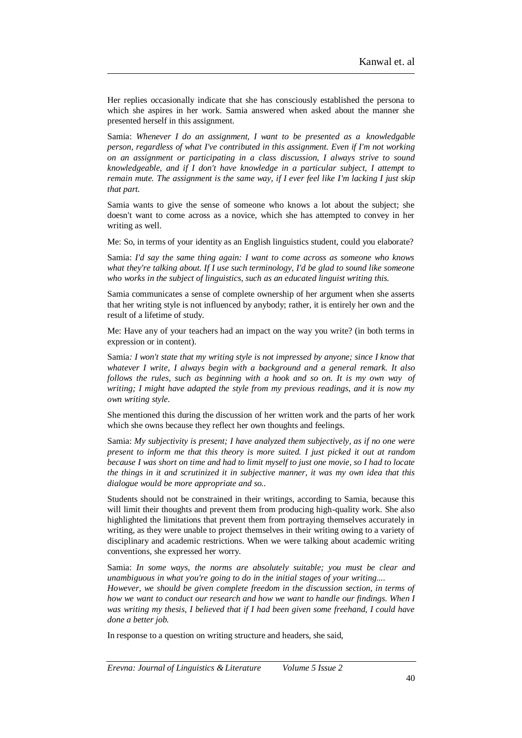Her replies occasionally indicate that she has consciously established the persona to which she aspires in her work. Samia answered when asked about the manner she presented herself in this assignment.

Samia: *Whenever I do an assignment, I want to be presented as a knowledgable person, regardless of what I've contributed in this assignment. Even if I'm not working on an assignment or participating in a class discussion, I always strive to sound knowledgeable, and if I don't have knowledge in a particular subject, I attempt to remain mute. The assignment is the same way, if I ever feel like I'm lacking I just skip that part.*

Samia wants to give the sense of someone who knows a lot about the subject; she doesn't want to come across as a novice, which she has attempted to convey in her writing as well.

Me: So, in terms of your identity as an English linguistics student, could you elaborate?

Samia: *I'd say the same thing again: I want to come across as someone who knows what they're talking about. If I use such terminology, I'd be glad to sound like someone who works in the subject of linguistics, such as an educated linguist writing this.*

Samia communicates a sense of complete ownership of her argument when she asserts that her writing style is not influenced by anybody; rather, it is entirely her own and the result of a lifetime of study.

Me: Have any of your teachers had an impact on the way you write? (in both terms in expression or in content).

Samia*: I won't state that my writing style is not impressed by anyone; since I know that whatever I write, I always begin with a background and a general remark. It also follows the rules, such as beginning with a hook and so on. It is my own way of writing; I might have adapted the style from my previous readings, and it is now my own writing style.*

She mentioned this during the discussion of her written work and the parts of her work which she owns because they reflect her own thoughts and feelings.

Samia: *My subjectivity is present; I have analyzed them subjectively, as if no one were present to inform me that this theory is more suited. I just picked it out at random because I was short on time and had to limit myself to just one movie, so I had to locate the things in it and scrutinized it in subjective manner, it was my own idea that this dialogue would be more appropriate and so..*

Students should not be constrained in their writings, according to Samia, because this will limit their thoughts and prevent them from producing high-quality work. She also highlighted the limitations that prevent them from portraying themselves accurately in writing, as they were unable to project themselves in their writing owing to a variety of disciplinary and academic restrictions. When we were talking about academic writing conventions, she expressed her worry.

Samia: *In some ways, the norms are absolutely suitable; you must be clear and unambiguous in what you're going to do in the initial stages of your writing.... However, we should be given complete freedom in the discussion section, in terms of how we want to conduct our research and how we want to handle our findings. When I was writing my thesis, I believed that if I had been given some freehand, I could have done a better job.*

In response to a question on writing structure and headers, she said,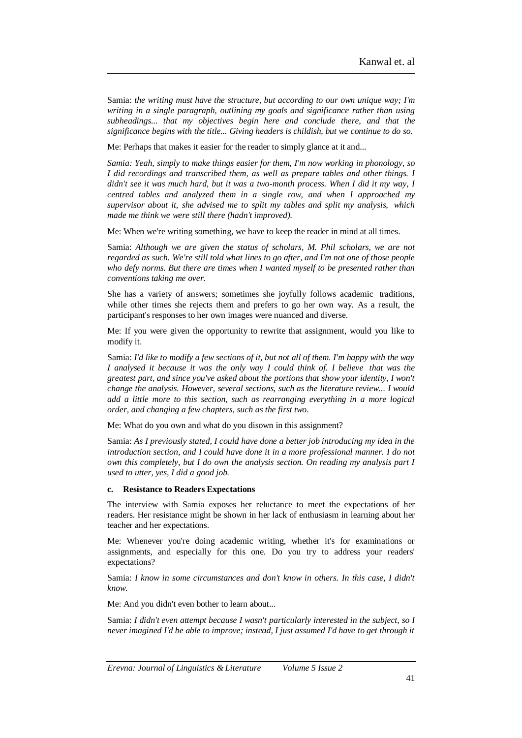Samia: *the writing must have the structure, but according to our own unique way; I'm writing in a single paragraph, outlining my goals and significance rather than using subheadings... that my objectives begin here and conclude there, and that the significance begins with the title... Giving headers is childish, but we continue to do so.*

Me: Perhaps that makes it easier for the reader to simply glance at it and...

*Samia: Yeah, simply to make things easier for them, I'm now working in phonology, so I did recordings and transcribed them, as well as prepare tables and other things. I didn't see it was much hard, but it was a two-month process. When I did it my way, I centred tables and analyzed them in a single row, and when I approached my supervisor about it, she advised me to split my tables and split my analysis, which made me think we were still there (hadn't improved).*

Me: When we're writing something, we have to keep the reader in mind at all times.

Samia: *Although we are given the status of scholars, M. Phil scholars, we are not regarded as such. We're still told what lines to go after, and I'm not one of those people who defy norms. But there are times when I wanted myself to be presented rather than conventions taking me over.*

She has a variety of answers; sometimes she joyfully follows academic traditions, while other times she rejects them and prefers to go her own way. As a result, the participant's responses to her own images were nuanced and diverse.

Me: If you were given the opportunity to rewrite that assignment, would you like to modify it.

Samia: *I'd like to modify a few sections of it, but not all of them. I'm happy with the way I analysed it because it was the only way I could think of. I believe that was the greatest part, and since you've asked about the portions that show your identity, I won't change the analysis. However, several sections, such as the literature review... I would add a little more to this section, such as rearranging everything in a more logical order, and changing a few chapters, such as the first two*.

Me: What do you own and what do you disown in this assignment?

Samia: *As I previously stated, I could have done a better job introducing my idea in the introduction section, and I could have done it in a more professional manner. I do not own this completely, but I do own the analysis section. On reading my analysis part I used to utter, yes, I did a good job.*

#### **c. Resistance to Readers Expectations**

The interview with Samia exposes her reluctance to meet the expectations of her readers. Her resistance might be shown in her lack of enthusiasm in learning about her teacher and her expectations.

Me: Whenever you're doing academic writing, whether it's for examinations or assignments, and especially for this one. Do you try to address your readers' expectations?

Samia: *I know in some circumstances and don't know in others. In this case, I didn't know.*

Me: And you didn't even bother to learn about...

Samia: *I didn't even attempt because I wasn't particularly interested in the subject, so I never imagined I'd be able to improve; instead, I just assumed I'd have to get through it*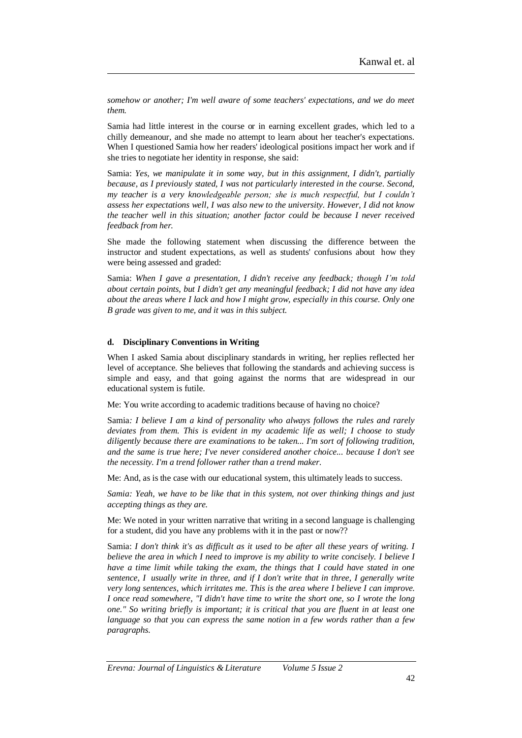*somehow or another; I'm well aware of some teachers' expectations, and we do meet them.*

Samia had little interest in the course or in earning excellent grades, which led to a chilly demeanour, and she made no attempt to learn about her teacher's expectations. When I questioned Samia how her readers' ideological positions impact her work and if she tries to negotiate her identity in response, she said:

Samia: *Yes, we manipulate it in some way, but in this assignment, I didn't, partially because, as I previously stated, I was not particularly interested in the course. Second, my teacher is a very knowledgeable person; she is much respectful, but I couldn't assess her expectations well, I was also new to the university. However, I did not know the teacher well in this situation; another factor could be because I never received feedback from her.*

She made the following statement when discussing the difference between the instructor and student expectations, as well as students' confusions about how they were being assessed and graded:

Samia: *When I gave a presentation, I didn't receive any feedback; though I'm told about certain points, but I didn't get any meaningful feedback; I did not have any idea about the areas where I lack and how I might grow, especially in this course. Only one B grade was given to me, and it was in this subject.*

## **d. Disciplinary Conventions in Writing**

When I asked Samia about disciplinary standards in writing, her replies reflected her level of acceptance. She believes that following the standards and achieving success is simple and easy, and that going against the norms that are widespread in our educational system is futile.

Me: You write according to academic traditions because of having no choice?

Samia*: I believe I am a kind of personality who always follows the rules and rarely deviates from them. This is evident in my academic life as well; I choose to study diligently because there are examinations to be taken... I'm sort of following tradition, and the same is true here; I've never considered another choice... because I don't see the necessity. I'm a trend follower rather than a trend maker.*

Me: And, as is the case with our educational system, this ultimately leads to success.

*Samia: Yeah, we have to be like that in this system, not over thinking things and just accepting things as they are.*

Me: We noted in your written narrative that writing in a second language is challenging for a student, did you have any problems with it in the past or now??

Samia: *I don't think it's as difficult as it used to be after all these years of writing. I believe the area in which I need to improve is my ability to write concisely. I believe I have a time limit while taking the exam, the things that I could have stated in one sentence, I usually write in three, and if I don't write that in three, I generally write very long sentences, which irritates me. This is the area where I believe I can improve. I once read somewhere, "I didn't have time to write the short one, so I wrote the long one." So writing briefly is important; it is critical that you are fluent in at least one language so that you can express the same notion in a few words rather than a few paragraphs.*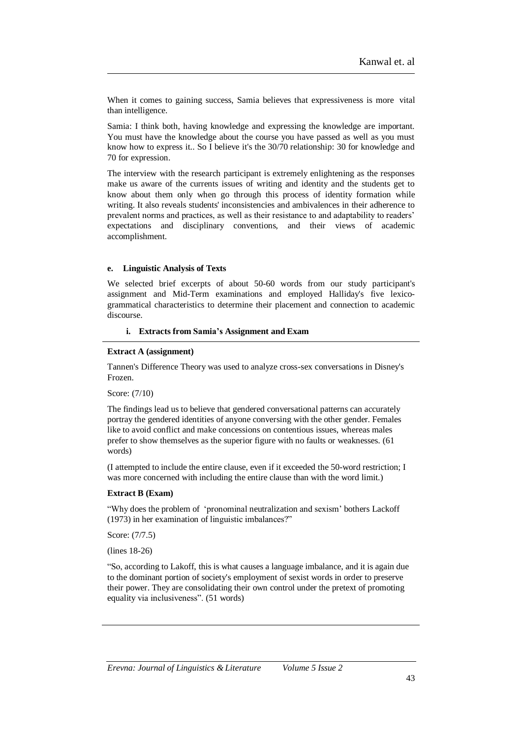When it comes to gaining success, Samia believes that expressiveness is more vital than intelligence.

Samia: I think both, having knowledge and expressing the knowledge are important. You must have the knowledge about the course you have passed as well as you must know how to express it.. So I believe it's the 30/70 relationship: 30 for knowledge and 70 for expression.

The interview with the research participant is extremely enlightening as the responses make us aware of the currents issues of writing and identity and the students get to know about them only when go through this process of identity formation while writing. It also reveals students' inconsistencies and ambivalences in their adherence to prevalent norms and practices, as well as their resistance to and adaptability to readers' expectations and disciplinary conventions, and their views of academic accomplishment.

#### **e. Linguistic Analysis of Texts**

We selected brief excerpts of about 50-60 words from our study participant's assignment and Mid-Term examinations and employed Halliday's five lexicogrammatical characteristics to determine their placement and connection to academic discourse.

#### **i. Extracts from Samia's Assignment and Exam**

#### **Extract A (assignment)**

Tannen's Difference Theory was used to analyze cross-sex conversations in Disney's Frozen.

Score: (7/10)

The findings lead us to believe that gendered conversational patterns can accurately portray the gendered identities of anyone conversing with the other gender. Females like to avoid conflict and make concessions on contentious issues, whereas males prefer to show themselves as the superior figure with no faults or weaknesses. (61 words)

(I attempted to include the entire clause, even if it exceeded the 50-word restriction; I was more concerned with including the entire clause than with the word limit.)

#### **Extract B (Exam)**

"Why does the problem of 'pronominal neutralization and sexism' bothers Lackoff (1973) in her examination of linguistic imbalances?"

Score: (7/7.5)

(lines 18-26)

"So, according to Lakoff, this is what causes a language imbalance, and it is again due to the dominant portion of society's employment of sexist words in order to preserve their power. They are consolidating their own control under the pretext of promoting equality via inclusiveness". (51 words)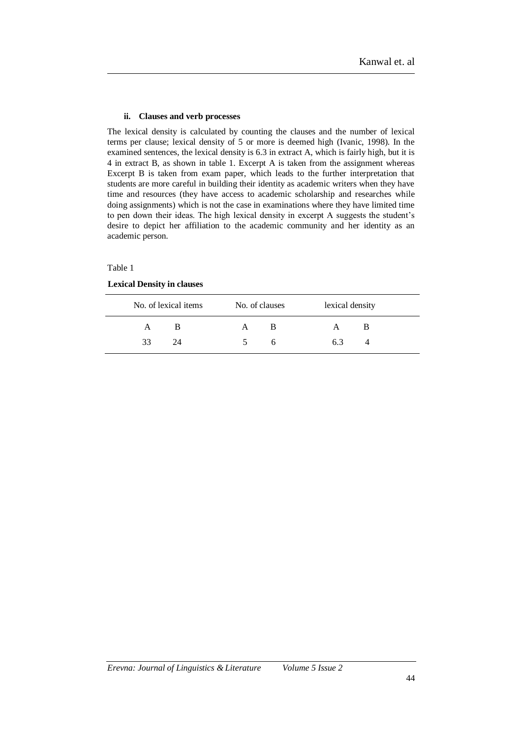### **ii. Clauses and verb processes**

The lexical density is calculated by counting the clauses and the number of lexical terms per clause; lexical density of 5 or more is deemed high (Ivanic, 1998). In the examined sentences, the lexical density is 6.3 in extract A, which is fairly high, but it is 4 in extract B, as shown in table 1. Excerpt A is taken from the assignment whereas Excerpt B is taken from exam paper, which leads to the further interpretation that students are more careful in building their identity as academic writers when they have time and resources (they have access to academic scholarship and researches while doing assignments) which is not the case in examinations where they have limited time to pen down their ideas. The high lexical density in excerpt A suggests the student's desire to depict her affiliation to the academic community and her identity as an academic person.

## Table 1

## **Lexical Density in clauses**

|    | No. of lexical items | No. of clauses | lexical density |  |
|----|----------------------|----------------|-----------------|--|
|    |                      | А              |                 |  |
| 33 |                      |                | 63              |  |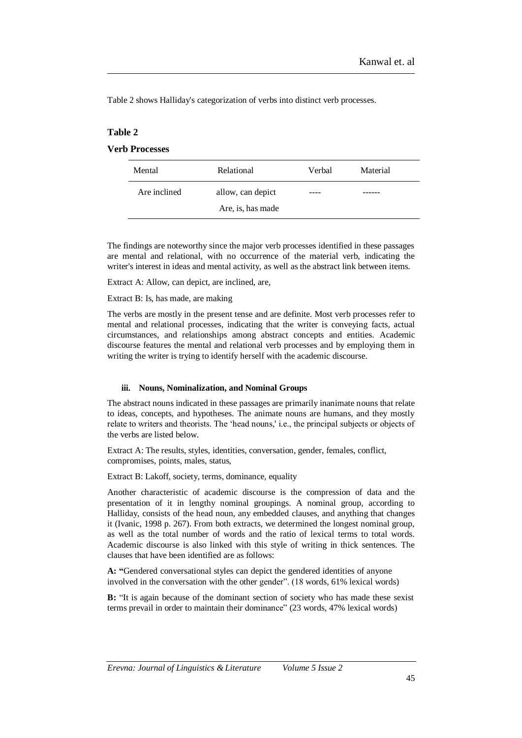Table 2 shows Halliday's categorization of verbs into distinct verb processes.

## **Table 2**

# **Verb Processes**

| Mental       | Relational        | Verbal | Material |
|--------------|-------------------|--------|----------|
| Are inclined | allow, can depict | ----   |          |
|              | Are, is, has made |        |          |

The findings are noteworthy since the major verb processes identified in these passages are mental and relational, with no occurrence of the material verb, indicating the writer's interest in ideas and mental activity, as well as the abstract link between items.

Extract A: Allow, can depict, are inclined, are,

Extract B: Is, has made, are making

The verbs are mostly in the present tense and are definite. Most verb processes refer to mental and relational processes, indicating that the writer is conveying facts, actual circumstances, and relationships among abstract concepts and entities. Academic discourse features the mental and relational verb processes and by employing them in writing the writer is trying to identify herself with the academic discourse.

## **iii. Nouns, Nominalization, and Nominal Groups**

The abstract nouns indicated in these passages are primarily inanimate nouns that relate to ideas, concepts, and hypotheses. The animate nouns are humans, and they mostly relate to writers and theorists. The 'head nouns,' i.e., the principal subjects or objects of the verbs are listed below.

Extract A: The results, styles, identities, conversation, gender, females, conflict, compromises, points, males, status,

Extract B: Lakoff, society, terms, dominance, equality

Another characteristic of academic discourse is the compression of data and the presentation of it in lengthy nominal groupings. A nominal group, according to Halliday, consists of the head noun, any embedded clauses, and anything that changes it (Ivanic, 1998 p. 267). From both extracts, we determined the longest nominal group, as well as the total number of words and the ratio of lexical terms to total words. Academic discourse is also linked with this style of writing in thick sentences. The clauses that have been identified are as follows:

**A: "**Gendered conversational styles can depict the gendered identities of anyone involved in the conversation with the other gender". (18 words, 61% lexical words)

**B:** "It is again because of the dominant section of society who has made these sexist terms prevail in order to maintain their dominance" (23 words, 47% lexical words)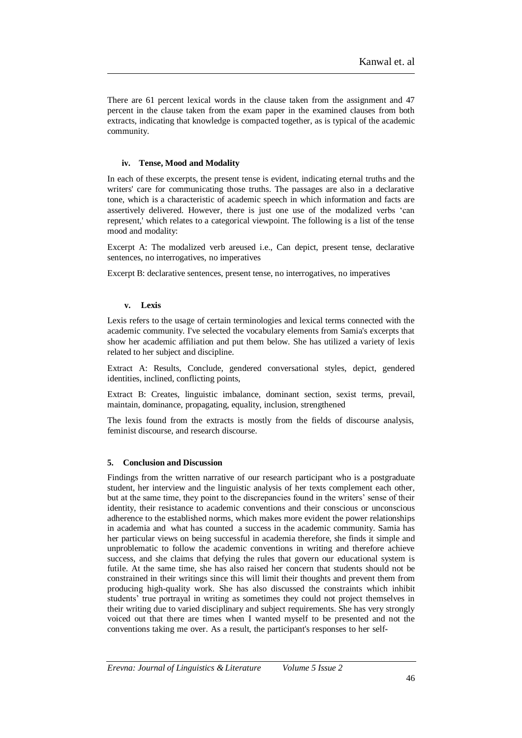There are 61 percent lexical words in the clause taken from the assignment and 47 percent in the clause taken from the exam paper in the examined clauses from both extracts, indicating that knowledge is compacted together, as is typical of the academic community.

## **iv. Tense, Mood and Modality**

In each of these excerpts, the present tense is evident, indicating eternal truths and the writers' care for communicating those truths. The passages are also in a declarative tone, which is a characteristic of academic speech in which information and facts are assertively delivered. However, there is just one use of the modalized verbs 'can represent,' which relates to a categorical viewpoint. The following is a list of the tense mood and modality:

Excerpt A: The modalized verb areused i.e., Can depict, present tense, declarative sentences, no interrogatives, no imperatives

Excerpt B: declarative sentences, present tense, no interrogatives, no imperatives

## **v. Lexis**

Lexis refers to the usage of certain terminologies and lexical terms connected with the academic community. I've selected the vocabulary elements from Samia's excerpts that show her academic affiliation and put them below. She has utilized a variety of lexis related to her subject and discipline.

Extract A: Results, Conclude, gendered conversational styles, depict, gendered identities, inclined, conflicting points,

Extract B: Creates, linguistic imbalance, dominant section, sexist terms, prevail, maintain, dominance, propagating, equality, inclusion, strengthened

The lexis found from the extracts is mostly from the fields of discourse analysis, feminist discourse, and research discourse.

## **5. Conclusion and Discussion**

Findings from the written narrative of our research participant who is a postgraduate student, her interview and the linguistic analysis of her texts complement each other, but at the same time, they point to the discrepancies found in the writers' sense of their identity, their resistance to academic conventions and their conscious or unconscious adherence to the established norms, which makes more evident the power relationships in academia and what has counted a success in the academic community. Samia has her particular views on being successful in academia therefore, she finds it simple and unproblematic to follow the academic conventions in writing and therefore achieve success, and she claims that defying the rules that govern our educational system is futile. At the same time, she has also raised her concern that students should not be constrained in their writings since this will limit their thoughts and prevent them from producing high-quality work. She has also discussed the constraints which inhibit students' true portrayal in writing as sometimes they could not project themselves in their writing due to varied disciplinary and subject requirements. She has very strongly voiced out that there are times when I wanted myself to be presented and not the conventions taking me over. As a result, the participant's responses to her self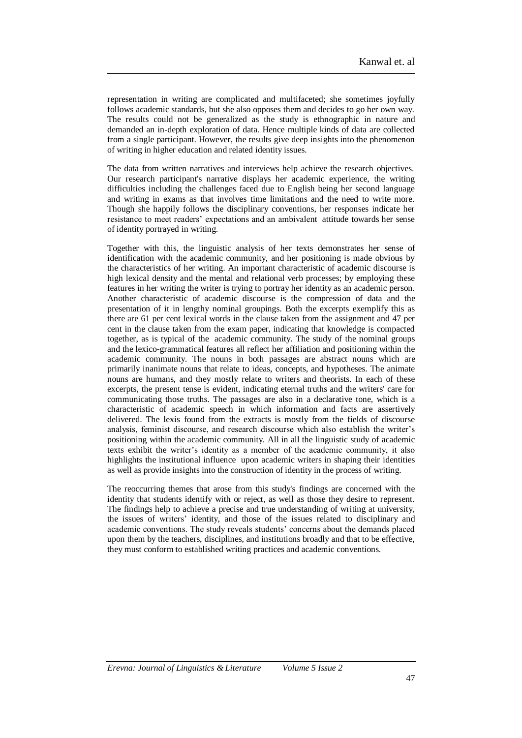representation in writing are complicated and multifaceted; she sometimes joyfully follows academic standards, but she also opposes them and decides to go her own way. The results could not be generalized as the study is ethnographic in nature and demanded an in-depth exploration of data. Hence multiple kinds of data are collected from a single participant. However, the results give deep insights into the phenomenon of writing in higher education and related identity issues.

The data from written narratives and interviews help achieve the research objectives. Our research participant's narrative displays her academic experience, the writing difficulties including the challenges faced due to English being her second language and writing in exams as that involves time limitations and the need to write more. Though she happily follows the disciplinary conventions, her responses indicate her resistance to meet readers' expectations and an ambivalent attitude towards her sense of identity portrayed in writing.

Together with this, the linguistic analysis of her texts demonstrates her sense of identification with the academic community, and her positioning is made obvious by the characteristics of her writing. An important characteristic of academic discourse is high lexical density and the mental and relational verb processes; by employing these features in her writing the writer is trying to portray her identity as an academic person. Another characteristic of academic discourse is the compression of data and the presentation of it in lengthy nominal groupings. Both the excerpts exemplify this as there are 61 per cent lexical words in the clause taken from the assignment and 47 per cent in the clause taken from the exam paper, indicating that knowledge is compacted together, as is typical of the academic community. The study of the nominal groups and the lexico-grammatical features all reflect her affiliation and positioning within the academic community. The nouns in both passages are abstract nouns which are primarily inanimate nouns that relate to ideas, concepts, and hypotheses. The animate nouns are humans, and they mostly relate to writers and theorists. In each of these excerpts, the present tense is evident, indicating eternal truths and the writers' care for communicating those truths. The passages are also in a declarative tone, which is a characteristic of academic speech in which information and facts are assertively delivered. The lexis found from the extracts is mostly from the fields of discourse analysis, feminist discourse, and research discourse which also establish the writer's positioning within the academic community. All in all the linguistic study of academic texts exhibit the writer's identity as a member of the academic community, it also highlights the institutional influence upon academic writers in shaping their identities as well as provide insights into the construction of identity in the process of writing.

The reoccurring themes that arose from this study's findings are concerned with the identity that students identify with or reject, as well as those they desire to represent. The findings help to achieve a precise and true understanding of writing at university, the issues of writers' identity, and those of the issues related to disciplinary and academic conventions. The study reveals students' concerns about the demands placed upon them by the teachers, disciplines, and institutions broadly and that to be effective, they must conform to established writing practices and academic conventions.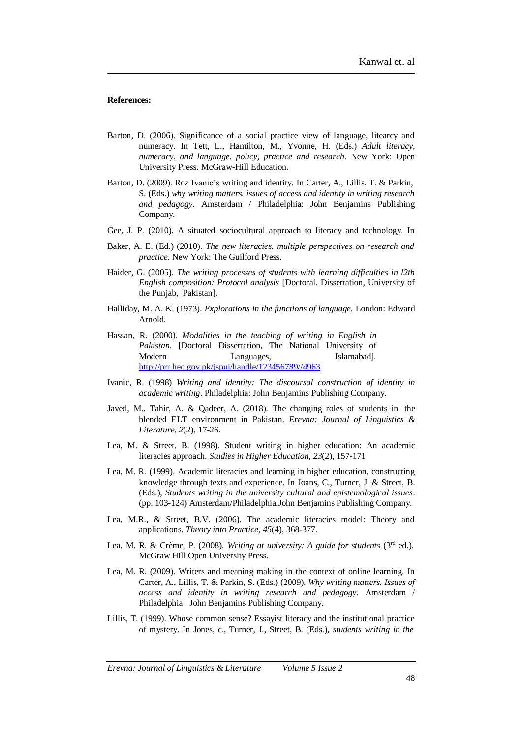#### **References:**

- Barton, D. (2006). Significance of a social practice view of language, litearcy and numeracy. In Tett, L., Hamilton, M., Yvonne, H. (Eds.) *Adult literacy, numeracy, and language. policy, practice and research*. New York: Open University Press. McGraw-Hill Education.
- Barton, D. (2009). Roz Ivanic's writing and identity. In Carter, A., Lillis, T. & Parkin, S. (Eds.) *why writing matters. issues of access and identity in writing research and pedagogy*. Amsterdam / Philadelphia: John Benjamins Publishing Company.
- Gee, J. P. (2010). A situated–sociocultural approach to literacy and technology. In
- Baker, A. E. (Ed.) (2010). *The new literacies. multiple perspectives on research and practice.* New York: The Guilford Press.
- Haider, G. (2005). *The writing processes of students with learning difficulties in l2th English composition: Protocol analysis* [Doctoral. Dissertation, University of the Punjab, Pakistan].
- Halliday, M. A. K. (1973). *Explorations in the functions of language.* London: Edward Arnold.
- Hassan, R. (2000). *Modalities in the teaching of writing in English in Pakistan*. [Doctoral Dissertation, The National University of Modern Languages, Islamabad]. [http://prr.hec.gov.pk/jspui/handle/123456789//4963](http://prr.hec.gov.pk/jspui/handle/123456789/4963)
- Ivanic, R. (1998) *Writing and identity: The discoursal construction of identity in academic writing*. Philadelphia: John Benjamins Publishing Company.
- Javed, M., Tahir, A. & Qadeer, A. (2018). The changing roles of students in the blended ELT environment in Pakistan. *Erevna: Journal of Linguistics & Literature, 2*(2), 17-26.
- Lea, M. & Street, B. (1998). Student writing in higher education: An academic literacies approach. *Studies in Higher Education*, *23*(2), 157-171
- Lea, M. R. (1999). Academic literacies and learning in higher education, constructing knowledge through texts and experience. In Joans, C., Turner, J. & Street, B. (Eds.), *Students writing in the university cultural and epistemological issues*. (pp. 103-124) Amsterdam/Philadelphia.John Benjamins Publishing Company.
- Lea, M.R., & Street, B.V. (2006). The academic literacies model: Theory and applications. *Theory into Practice*, *45*(4), 368-377.
- Lea, M. R. & Crème, P. (2008). *Writing at university: A guide for students* (3rd ed.). McGraw Hill Open University Press.
- Lea, M. R. (2009). Writers and meaning making in the context of online learning. In Carter, A., Lillis, T. & Parkin, S. (Eds.) (2009). *Why writing matters. Issues of access and identity in writing research and pedagogy*. Amsterdam / Philadelphia: John Benjamins Publishing Company.
- Lillis, T. (1999). Whose common sense? Essayist literacy and the institutional practice of mystery. In Jones, c., Turner, J., Street, B. (Eds.), *students writing in the*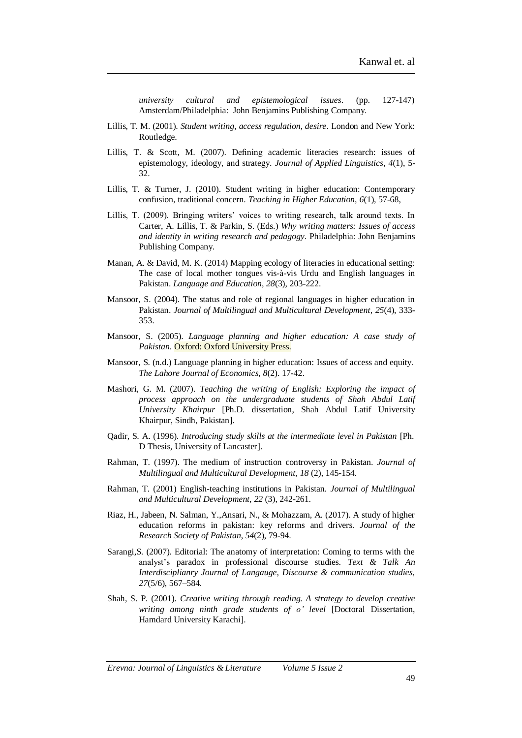*university cultural and epistemological issues*. (pp. 127-147) Amsterdam/Philadelphia: John Benjamins Publishing Company.

- Lillis, T. M. (2001). *Student writing, access regulation, desire*. London and New York: Routledge.
- Lillis, T. & Scott, M. (2007). Defining academic literacies research: issues of epistemology, ideology, and strategy. *Journal of Applied Linguistics*, *4*(1), 5- 32.
- Lillis, T. & Turner, J. (2010). Student writing in higher education: Contemporary confusion, traditional concern. *Teaching in Higher Education, 6*(1), 57-68,
- Lillis, T. (2009). Bringing writers' voices to writing research, talk around texts. In Carter, A. Lillis, T. & Parkin, S. (Eds.) *Why writing matters: Issues of access and identity in writing research and pedagogy*. Philadelphia: John Benjamins Publishing Company.
- Manan, A. & David, M. K. (2014) Mapping ecology of literacies in educational setting: The case of local mother tongues vis-à-vis Urdu and English languages in Pakistan. *Language and Education, 28*(3), 203-222.
- Mansoor, S. (2004). The status and role of regional languages in higher education in Pakistan. *Journal of Multilingual and Multicultural Development*, *25*(4), 333- 353.
- Mansoor, S. (2005). *Language planning and higher education: A case study of Pakistan*. Oxford: Oxford University Press.
- Mansoor, S. (n.d.) Language planning in higher education: Issues of access and equity. *The Lahore Journal of Economics*, *8*(2). 17-42.
- Mashori, G. M. (2007). *Teaching the writing of English: Exploring the impact of process approach on the undergraduate students of Shah Abdul Latif University Khairpur* [Ph.D. dissertation, Shah Abdul Latif University Khairpur, Sindh, Pakistan].
- Qadir, S. A. (1996). *Introducing study skills at the intermediate level in Pakistan* [Ph. D Thesis, University of Lancaster].
- Rahman, T. (1997). The medium of instruction controversy in Pakistan. *Journal of Multilingual and Multicultural Development, 18* (2), 145-154.
- Rahman, T. (2001) English-teaching institutions in Pakistan. *Journal of Multilingual and Multicultural Development, 22* (3), 242-261.
- Riaz, H., Jabeen, N. Salman, Y.,Ansari, N., & Mohazzam, A. (2017). A study of higher education reforms in pakistan: key reforms and drivers. *Journal of the Research Society of Pakistan*, *54*(2), 79-94.
- Sarangi,S. (2007). Editorial: The anatomy of interpretation: Coming to terms with the analyst's paradox in professional discourse studies. *Text & Talk An Interdisciplianry Journal of Langauge, Discourse & communication studies, 27*(5/6), 567–584.
- Shah, S. P. (2001). *Creative writing through reading. A strategy to develop creative writing among ninth grade students of o' level* [Doctoral Dissertation, Hamdard University Karachi].